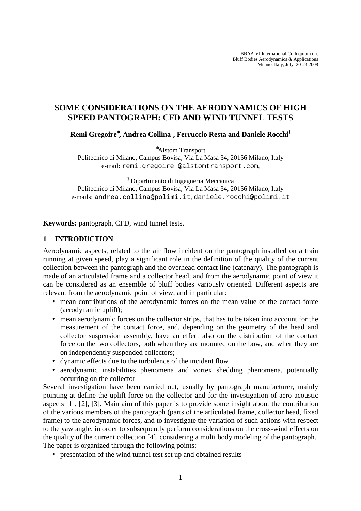BBAA VI International Colloquium on: Bluff Bodies Aerodynamics & Applications Milano, Italy, July, 20-24 2008

# **SOME CONSIDERATIONS ON THE AERODYNAMICS OF HIGH SPEED PANTOGRAPH: CFD AND WIND TUNNEL TESTS**

**Remi Gregoire**<sup>∗</sup>**, Andrea Collina† , Ferruccio Resta and Daniele Rocchi†** 

<sup>∗</sup>Alstom Transport

Politecnico di Milano, Campus Bovisa, Via La Masa 34, 20156 Milano, Italy e-mail: remi.gregoire @alstomtransport.com,

† Dipartimento di Ingegneria Meccanica Politecnico di Milano, Campus Bovisa, Via La Masa 34, 20156 Milano, Italy e-mails: andrea.collina@polimi.it, daniele.rocchi@polimi.it

**Keywords:** pantograph, CFD, wind tunnel tests.

## **1 INTRODUCTION**

Aerodynamic aspects, related to the air flow incident on the pantograph installed on a train running at given speed, play a significant role in the definition of the quality of the current collection between the pantograph and the overhead contact line (catenary). The pantograph is made of an articulated frame and a collector head, and from the aerodynamic point of view it can be considered as an ensemble of bluff bodies variously oriented. Different aspects are relevant from the aerodynamic point of view, and in particular:

- mean contributions of the aerodynamic forces on the mean value of the contact force (aerodynamic uplift);
- mean aerodynamic forces on the collector strips, that has to be taken into account for the measurement of the contact force, and, depending on the geometry of the head and collector suspension assembly, have an effect also on the distribution of the contact force on the two collectors, both when they are mounted on the bow, and when they are on independently suspended collectors;
- dynamic effects due to the turbulence of the incident flow
- aerodynamic instabilities phenomena and vortex shedding phenomena, potentially occurring on the collector

Several investigation have been carried out, usually by pantograph manufacturer, mainly pointing at define the uplift force on the collector and for the investigation of aero acoustic aspects [1], [2], [3]. Main aim of this paper is to provide some insight about the contribution of the various members of the pantograph (parts of the articulated frame, collector head, fixed frame) to the aerodynamic forces, and to investigate the variation of such actions with respect to the yaw angle, in order to subsequently perform considerations on the cross-wind effects on the quality of the current collection [4], considering a multi body modeling of the pantograph. The paper is organized through the following points:

• presentation of the wind tunnel test set up and obtained results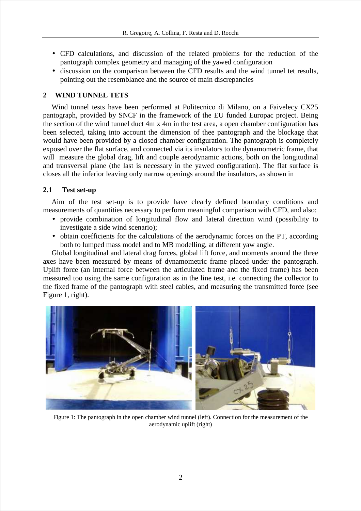- CFD calculations, and discussion of the related problems for the reduction of the pantograph complex geometry and managing of the yawed configuration
- discussion on the comparison between the CFD results and the wind tunnel tet results, pointing out the resemblance and the source of main discrepancies

## **2 WIND TUNNEL TETS**

Wind tunnel tests have been performed at Politecnico di Milano, on a Faivelecy CX25 pantograph, provided by SNCF in the framework of the EU funded Europac project. Being the section of the wind tunnel duct 4m x 4m in the test area, a open chamber configuration has been selected, taking into account the dimension of thee pantograph and the blockage that would have been provided by a closed chamber configuration. The pantograph is completely exposed over the flat surface, and connected via its insulators to the dynamometric frame, that will measure the global drag, lift and couple aerodynamic actions, both on the longitudinal and transversal plane (the last is necessary in the yawed configuration). The flat surface is closes all the inferior leaving only narrow openings around the insulators, as shown in

## **2.1 Test set-up**

Aim of the test set-up is to provide have clearly defined boundary conditions and measurements of quantities necessary to perform meaningful comparison with CFD, and also:

- provide combination of longitudinal flow and lateral direction wind (possibility to investigate a side wind scenario);
- obtain coefficients for the calculations of the aerodynamic forces on the PT, according both to lumped mass model and to MB modelling, at different yaw angle.

Global longitudinal and lateral drag forces, global lift force, and moments around the three axes have been measured by means of dynamometric frame placed under the pantograph. Uplift force (an internal force between the articulated frame and the fixed frame) has been measured too using the same configuration as in the line test, i.e. connecting the collector to the fixed frame of the pantograph with steel cables, and measuring the transmitted force (see Figure 1, right).



Figure 1: The pantograph in the open chamber wind tunnel (left). Connection for the measurement of the aerodynamic uplift (right)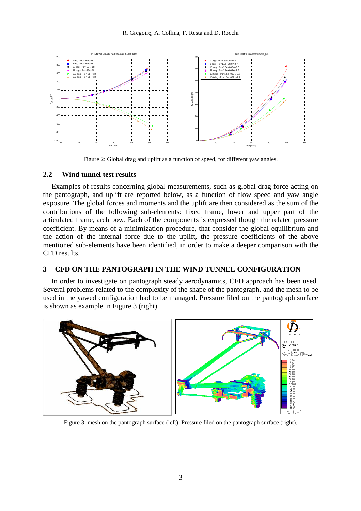

Figure 2: Global drag and uplift as a function of speed, for different yaw angles.

#### **2.2 Wind tunnel test results**

Examples of results concerning global measurements, such as global drag force acting on the pantograph, and uplift are reported below, as a function of flow speed and yaw angle exposure. The global forces and moments and the uplift are then considered as the sum of the contributions of the following sub-elements: fixed frame, lower and upper part of the articulated frame, arch bow. Each of the components is expressed though the related pressure coefficient. By means of a minimization procedure, that consider the global equilibrium and the action of the internal force due to the uplift, the pressure coefficients of the above mentioned sub-elements have been identified, in order to make a deeper comparison with the CFD results.

### **3 CFD ON THE PANTOGRAPH IN THE WIND TUNNEL CONFIGURATION**

In order to investigate on pantograph steady aerodynamics, CFD approach has been used. Several problems related to the complexity of the shape of the pantograph, and the mesh to be used in the yawed configuration had to be managed. Pressure filed on the pantograph surface is shown as example in Figure 3 (right).



Figure 3: mesh on the pantograph surface (left). Pressure filed on the pantograph surface (right).